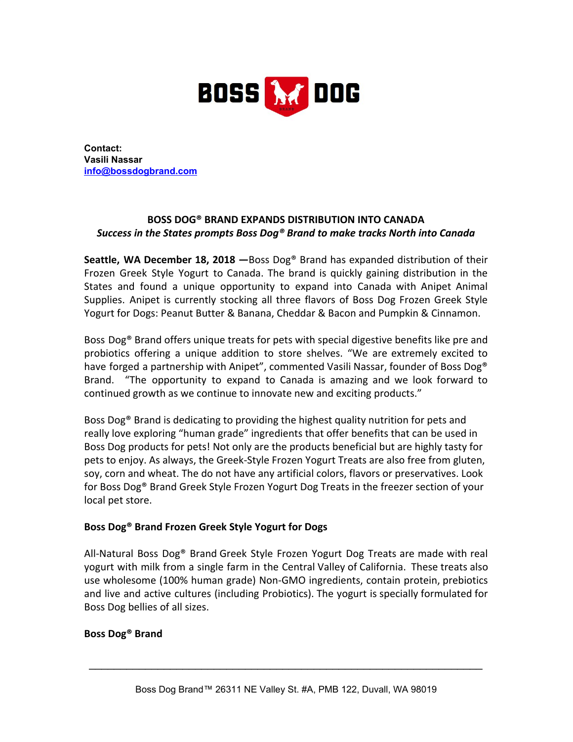

**Contact: Vasili Nassar [info@bossdogbrand.com](mailto:colleen@greekgodsyogurt.com)**

## **BOSS DOG® BRAND EXPANDS DISTRIBUTION INTO CANADA** *Success in the States prompts Boss Dog® Brand to make tracks North into Canada*

**Seattle, WA December 18, 2018 —**Boss Dog® Brand has expanded distribution of their Frozen Greek Style Yogurt to Canada. The brand is quickly gaining distribution in the States and found a unique opportunity to expand into Canada with Anipet Animal Supplies. Anipet is currently stocking all three flavors of Boss Dog Frozen Greek Style Yogurt for Dogs: Peanut Butter & Banana, Cheddar & Bacon and Pumpkin & Cinnamon.

Boss Dog® Brand offers unique treats for pets with special digestive benefits like pre and probiotics offering a unique addition to store shelves. "We are extremely excited to have forged a partnership with Anipet", commented Vasili Nassar, founder of Boss Dog® Brand. "The opportunity to expand to Canada is amazing and we look forward to continued growth as we continue to innovate new and exciting products."

Boss Dog® Brand is dedicating to providing the highest quality nutrition for pets and really love exploring "human grade" ingredients that offer benefits that can be used in Boss Dog products for pets! Not only are the products beneficial but are highly tasty for pets to enjoy. As always, the Greek-Style Frozen Yogurt Treats are also free from gluten, soy, corn and wheat. The do not have any artificial colors, flavors or preservatives. Look for Boss Dog® Brand Greek Style Frozen Yogurt Dog Treats in the freezer section of your local pet store.

## **Boss Dog® Brand Frozen Greek Style Yogurt for Dogs**

All-Natural Boss Dog® Brand Greek Style Frozen Yogurt Dog Treats are made with real yogurt with milk from a single farm in the Central Valley of California. These treats also use wholesome (100% human grade) Non-GMO ingredients, contain protein, prebiotics and live and active cultures (including Probiotics). The yogurt is specially formulated for Boss Dog bellies of all sizes.

## **Boss Dog® Brand**

\_\_\_\_\_\_\_\_\_\_\_\_\_\_\_\_\_\_\_\_\_\_\_\_\_\_\_\_\_\_\_\_\_\_\_\_\_\_\_\_\_\_\_\_\_\_\_\_\_\_\_\_\_\_\_\_\_\_\_\_\_\_\_